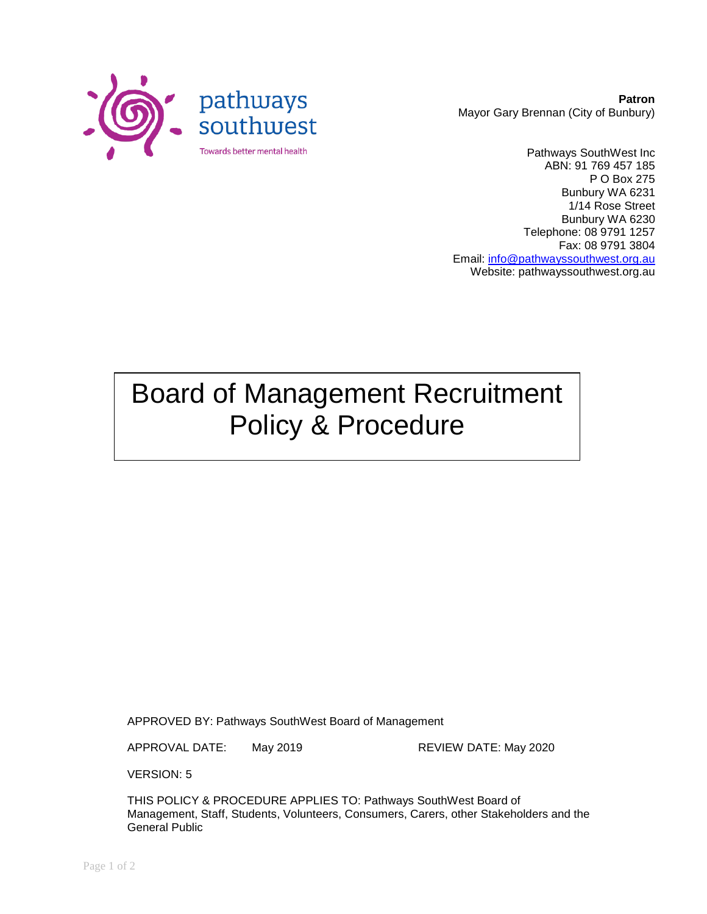

**Patron** Mayor Gary Brennan (City of Bunbury)

Pathways SouthWest Inc ABN: 91 769 457 185 P O Box 275 Bunbury WA 6231 1/14 Rose Street Bunbury WA 6230 Telephone: 08 9791 1257 Fax: 08 9791 3804 Email: [info@pathwayssouthwest.org.au](mailto:info@pathwayssouthwest.org.au) Website: pathwayssouthwest.org.au

# Board of Management Recruitment Policy & Procedure

APPROVED BY: Pathways SouthWest Board of Management

APPROVAL DATE: May 2019 REVIEW DATE: May 2020

VERSION: 5

THIS POLICY & PROCEDURE APPLIES TO: Pathways SouthWest Board of Management, Staff, Students, Volunteers, Consumers, Carers, other Stakeholders and the General Public